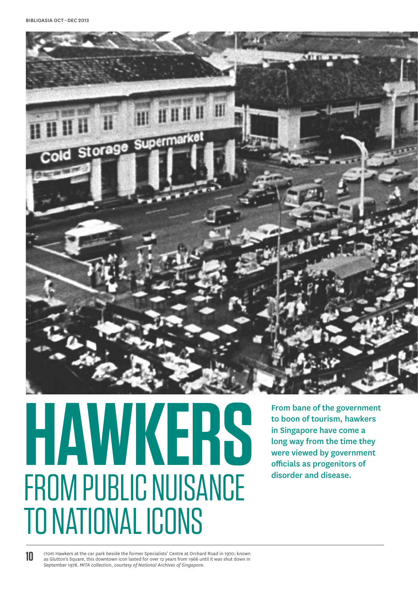

# From bane of the government of the government of the government of the government of the government of the state of the state of the state of the state of the state of the state of the state of the state of the state of th FROM PUBLIC NUISANCE TO NATIONAL ICONS

From bane of the government to boon of tourism, hawkers in Singapore have come a long way from the time they were viewed by government

**10**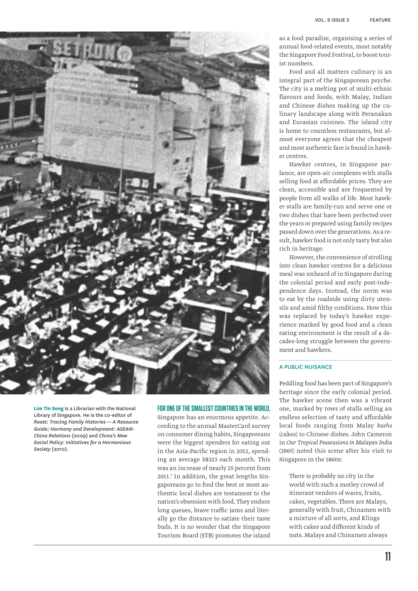

**Lim Tin Seng** is a Librarian with the National Library of Singapore. He is the co-editor of *Roots: Tracing Family Histories — A Resource Guide; Harmony and Development: ASEAN-China Relations* (2009) and *China's New Social Policy: Initiatives for a Harmonious Society* (2010).

# **For one of the smallest countries in the world,**

Singapore has an enormous appetite. According to the annual MasterCard survey on consumer dining habits, Singaporeans were the biggest spenders for eating out in the Asia-Pacific region in 2012, spending an average S\$323 each month. This was an increase of nearly 25 percent from 2011.<sup>1</sup> In addition, the great lengths Singaporeans go to find the best or most authentic local dishes are testament to the nation's obsession with food. They endure long queues, brave traffic jams and literally go the distance to satiate their taste buds. It is no wonder that the Singapore Tourism Board (STB) promotes the island

as a food paradise, organising a series of annual food-related events, most notably the Singapore Food Festival, to boost tourist numbers.

Food and all matters culinary is an integral part of the Singaporean psyche. The city is a melting pot of multi-ethnic flavours and foods, with Malay, Indian and Chinese dishes making up the culinary landscape along with Peranakan and Eurasian cuisines. The island city is home to countless restaurants, but almost everyone agrees that the cheapest and most authentic fare is found in hawker centres.

Hawker centres, in Singapore parlance, are open-air complexes with stalls selling food at affordable prices. They are clean, accessible and are frequented by people from all walks of life. Most hawker stalls are family-run and serve one or two dishes that have been perfected over the years or prepared using family recipes passed down over the generations. As a result, hawker food is not only tasty but also rich in heritage.

However, the convenience of strolling into clean hawker centres for a delicious meal was unheard of in Singapore during the colonial period and early post-independence days. Instead, the norm was to eat by the roadside using dirty utensils and amid filthy conditions. How this was replaced by today's hawker experience marked by good food and a clean eating environment is the result of a decades-long struggle between the government and hawkers.

# A Public Nuisance

Peddling food has been part of Singapore's heritage since the early colonial period. The hawker scene then was a vibrant one, marked by rows of stalls selling an endless selection of tasty and affordable local foods ranging from Malay *kuehs*  (cakes) to Chinese dishes. John Cameron in *Our Tropical Possessions in Malayan India* (1865) noted this scene after his visit to Singapore in the 1860s:

There is probably no city in the world with such a motley crowd of itinerant vendors of wares, fruits, cakes, vegetables. There are Malays, generally with fruit, Chinamen with a mixture of all sorts, and Klings with cakes and different kinds of nuts. Malays and Chinamen always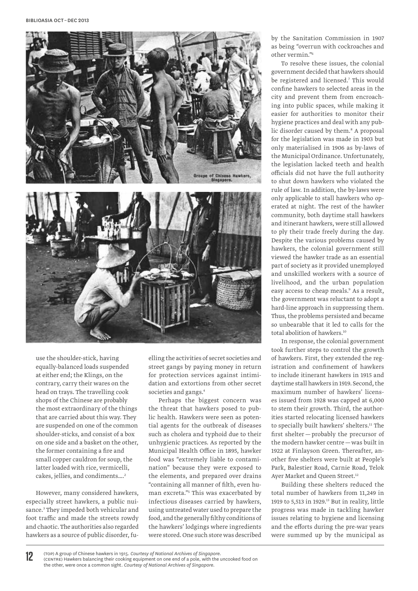

use the shoulder-stick, having equally-balanced loads suspended at either end; the Klings, on the contrary, carry their wares on the head on trays. The travelling cook shops of the Chinese are probably the most extraordinary of the things that are carried about this way. They are suspended on one of the common shoulder-sticks, and consist of a box on one side and a basket on the other, the former containing a fire and small copper cauldron for soup, the latter loaded with rice, vermicelli, cakes, jellies, and condiments....<sup>2</sup>

However, many considered hawkers, especially street hawkers, a public nuisance.3 They impeded both vehicular and foot traffic and made the streets rowdy and chaotic. The authorities also regarded hawkers as a source of public disorder, fuelling the activities of secret societies and street gangs by paying money in return for protection services against intimidation and extortions from other secret societies and gangs.<sup>4</sup>

Perhaps the biggest concern was the threat that hawkers posed to public health. Hawkers were seen as potential agents for the outbreak of diseases such as cholera and typhoid due to their unhygienic practices. As reported by the Municipal Health Office in 1895, hawker food was "extremely liable to contamination" because they were exposed to the elements, and prepared over drains "containing all manner of filth, even human excreta."5 This was exacerbated by infectious diseases carried by hawkers, using untreated water used to prepare the food, and the generally filthy conditions of the hawkers' lodgings where ingredients were stored. One such store was described

by the Sanitation Commission in 1907 as being "overrun with cockroaches and other vermin."6

To resolve these issues, the colonial government decided that hawkers should be registered and licensed.7 This would confine hawkers to selected areas in the city and prevent them from encroaching into public spaces, while making it easier for authorities to monitor their hygiene practices and deal with any public disorder caused by them.<sup>8</sup> A proposal for the legislation was made in 1903 but only materialised in 1906 as by-laws of the Municipal Ordinance. Unfortunately, the legislation lacked teeth and health officials did not have the full authority to shut down hawkers who violated the rule of law. In addition, the by-laws were only applicable to stall hawkers who operated at night. The rest of the hawker community, both daytime stall hawkers and itinerant hawkers, were still allowed to ply their trade freely during the day. Despite the various problems caused by hawkers, the colonial government still viewed the hawker trade as an essential part of society as it provided unemployed and unskilled workers with a source of livelihood, and the urban population easy access to cheap meals.<sup>9</sup> As a result, the government was reluctant to adopt a hard-line approach in suppressing them. Thus, the problems persisted and became so unbearable that it led to calls for the total abolition of hawkers.<sup>10</sup>

In response, the colonial government took further steps to control the growth of hawkers. First, they extended the registration and confinement of hawkers to include itinerant hawkers in 1915 and daytime stall hawkers in 1919. Second, the maximum number of hawkers' licenses issued from 1928 was capped at 6,000 to stem their growth. Third, the authorities started relocating licensed hawkers to specially built hawkers' shelters.<sup>11</sup> The first shelter — probably the precursor of the modern hawker centre—was built in 1922 at Finlayson Green. Thereafter, another five shelters were built at People's Park, Balestier Road, Carnie Road, Telok Ayer Market and Queen Street.<sup>12</sup>

Building these shelters reduced the total number of hawkers from 11,249 in 1919 to 5,513 in 1929.<sup>13</sup> But in reality, little progress was made in tackling hawker issues relating to hygiene and licensing and the efforts during the pre-war years were summed up by the municipal as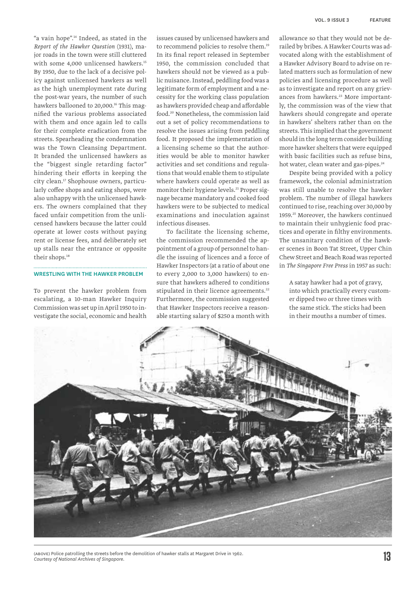"a vain hope".14 Indeed, as stated in the *Report of the Hawker Question* (1931), major roads in the town were still cluttered with some 4,000 unlicensed hawkers.<sup>15</sup> By 1950, due to the lack of a decisive policy against unlicensed hawkers as well as the high unemployment rate during the post-war years, the number of such hawkers ballooned to 20,000.<sup>16</sup> This magnified the various problems associated with them and once again led to calls for their complete eradication from the streets. Spearheading the condemnation was the Town Cleansing Department. It branded the unlicensed hawkers as the "biggest single retarding factor" hindering their efforts in keeping the city clean.17 Shophouse owners, particularly coffee shops and eating shops, were also unhappy with the unlicensed hawkers. The owners complained that they faced unfair competition from the unlicensed hawkers because the latter could operate at lower costs without paying rent or license fees, and deliberately set up stalls near the entrance or opposite their shops.18

### Wrestling with the Hawker Problem

To prevent the hawker problem from escalating, a 10-man Hawker Inquiry Commission was set up in April 1950 to investigate the social, economic and health

issues caused by unlicensed hawkers and to recommend policies to resolve them.19 In its final report released in September 1950, the commission concluded that hawkers should not be viewed as a public nuisance. Instead, peddling food was a legitimate form of employment and a necessity for the working class population as hawkers provided cheap and affordable food.20 Nonetheless, the commission laid out a set of policy recommendations to resolve the issues arising from peddling food. It proposed the implementation of a licensing scheme so that the authorities would be able to monitor hawker activities and set conditions and regulations that would enable them to stipulate where hawkers could operate as well as monitor their hygiene levels.<sup>21</sup> Proper signage became mandatory and cooked food hawkers were to be subjected to medical examinations and inoculation against infectious diseases.

To facilitate the licensing scheme, the commission recommended the appointment of a group of personnel to handle the issuing of licences and a force of Hawker Inspectors (at a ratio of about one to every 2,000 to 3,000 hawkers) to ensure that hawkers adhered to conditions stipulated in their licence agreements.<sup>22</sup> Furthermore, the commission suggested that Hawker Inspectors receive a reasonable starting salary of \$250 a month with allowance so that they would not be derailed by bribes. A Hawker Courts was advocated along with the establishment of a Hawker Advisory Board to advise on related matters such as formulation of new policies and licensing procedure as well as to investigate and report on any grievances from hawkers.<sup>23</sup> More importantly, the commission was of the view that hawkers should congregate and operate in hawkers' shelters rather than on the streets. This implied that the government should in the long term consider building more hawker shelters that were equipped with basic facilities such as refuse bins, hot water, clean water and gas-pipes.<sup>24</sup>

Despite being provided with a policy framework, the colonial administration was still unable to resolve the hawker problem. The number of illegal hawkers continued to rise, reaching over 30,000 by 1959.25 Moreover, the hawkers continued to maintain their unhygienic food practices and operate in filthy environments. The unsanitary condition of the hawker scenes in Boon Tat Street, Upper Chin Chew Street and Beach Road was reported in *The Singapore Free Press* in 1957 as such:

A satay hawker had a pot of gravy, into which practically every customer dipped two or three times with the same stick. The sticks had been in their mouths a number of times.



(above) Police patrolling the streets before the demolition of hawker stalls at Margaret Drive in 1962. *Courtesy of National Archives of Singapore.*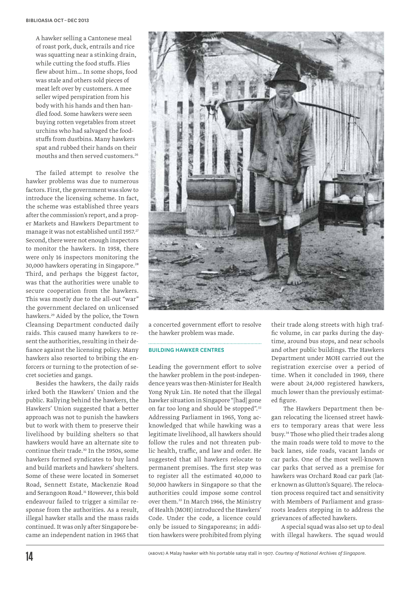A hawker selling a Cantonese meal of roast pork, duck, entrails and rice was squatting near a stinking drain, while cutting the food stuffs. Flies flew about him… In some shops, food was stale and others sold pieces of meat left over by customers. A mee seller wiped perspiration from his body with his hands and then handled food. Some hawkers were seen buying rotten vegetables from street urchins who had salvaged the foodstuffs from dustbins. Many hawkers spat and rubbed their hands on their mouths and then served customers.26

The failed attempt to resolve the hawker problems was due to numerous factors. First, the government was slow to introduce the licensing scheme. In fact, the scheme was established three years after the commission's report, and a proper Markets and Hawkers Department to manage it was not established until 1957.<sup>27</sup> Second, there were not enough inspectors to monitor the hawkers. In 1958, there were only 16 inspectors monitoring the 30,000 hawkers operating in Singapore.28 Third, and perhaps the biggest factor, was that the authorities were unable to secure cooperation from the hawkers. This was mostly due to the all-out "war" the government declared on unlicensed hawkers.29 Aided by the police, the Town Cleansing Department conducted daily raids. This caused many hawkers to resent the authorities, resulting in their defiance against the licensing policy. Many hawkers also resorted to bribing the enforcers or turning to the protection of secret societies and gangs.

Besides the hawkers, the daily raids irked both the Hawkers' Union and the public. Rallying behind the hawkers, the Hawkers' Union suggested that a better approach was not to punish the hawkers but to work with them to preserve their livelihood by building shelters so that hawkers would have an alternate site to continue their trade.<sup>30</sup> In the 1950s, some hawkers formed syndicates to buy land and build markets and hawkers' shelters. Some of these were located in Somerset Road, Sennett Estate, Mackenzie Road and Serangoon Road.<sup>31</sup> However, this bold endeavour failed to trigger a similar response from the authorities. As a result, illegal hawker stalls and the mass raids continued. It was only after Singapore became an independent nation in 1965 that



a concerted government effort to resolve the hawker problem was made. 

#### Building Hawker Centres

Leading the government effort to solve the hawker problem in the post-independence years was then-Minister for Health Yong Nyuk Lin. He noted that the illegal hawker situation in Singapore "[had] gone on far too long and should be stopped".32 Addressing Parliament in 1965, Yong acknowledged that while hawking was a legitimate livelihood, all hawkers should follow the rules and not threaten public health, traffic, and law and order. He suggested that all hawkers relocate to permanent premises. The first step was to register all the estimated 40,000 to 50,000 hawkers in Singapore so that the authorities could impose some control over them.<sup>33</sup> In March 1966, the Ministry of Health (MOH) introduced the Hawkers' Code. Under the code, a licence could only be issued to Singaporeans; in addition hawkers were prohibited from plying their trade along streets with high traffic volume, in car parks during the daytime, around bus stops, and near schools and other public buildings. The Hawkers Department under MOH carried out the registration exercise over a period of time. When it concluded in 1969, there were about 24,000 registered hawkers, much lower than the previously estimated figure.

 The Hawkers Department then began relocating the licensed street hawkers to temporary areas that were less busy.34 Those who plied their trades along the main roads were told to move to the back lanes, side roads, vacant lands or car parks. One of the most well-known car parks that served as a premise for hawkers was Orchard Road car park (later known as Glutton's Square). The relocation process required tact and sensitivity with Members of Parliament and grassroots leaders stepping in to address the grievances of affected hawkers.

A special squad was also set up to deal with illegal hawkers. The squad would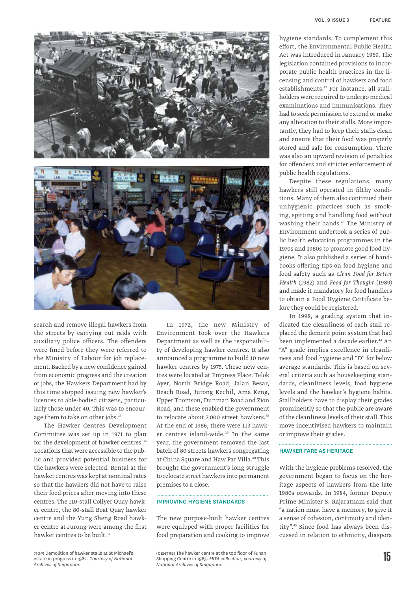

search and remove illegal hawkers from the streets by carrying out raids with auxiliary police officers. The offenders were fined before they were referred to the Ministry of Labour for job replacement. Backed by a new confidence gained from economic progress and the creation of jobs, the Hawkers Department had by this time stopped issuing new hawker's licences to able-bodied citizens, particularly those under 40. This was to encourage them to take on other jobs.<sup>35</sup>

The Hawker Centres Development Committee was set up in 1971 to plan for the development of hawker centres.<sup>36</sup> Locations that were accessible to the public and provided potential business for the hawkers were selected. Rental at the hawker centres was kept at nominal rates so that the hawkers did not have to raise their food prices after moving into these centres. The 110-stall Collyer Quay hawker centre, the 80-stall Boat Quay hawker centre and the Yung Sheng Road hawker centre at Jurong were among the first hawker centres to be built.<sup>37</sup>

In 1972, the new Ministry of Environment took over the Hawkers Department as well as the responsibility of developing hawker centres. It also announced a programme to build 10 new hawker centres by 1975. These new centres were located at Empress Place, Telok Ayer, North Bridge Road, Jalan Besar, Beach Road, Jurong Kechil, Ama Keng, Upper Thomson, Dunman Road and Zion Road, and these enabled the government to relocate about 7,000 street hawkers.<sup>38</sup> At the end of 1986, there were 113 hawker centres island-wide.<sup>39</sup> In the same year, the government removed the last batch of 80 streets hawkers congregating at China Square and Haw Par Villa.<sup>40</sup> This brought the government's long struggle to relocate street hawkers into permanent premises to a close.

# Improving Hygiene Standards

The new purpose-built hawker centres were equipped with proper facilities for food preparation and cooking to improve

hygiene standards. To complement this effort, the Environmental Public Health Act was introduced in January 1969. The legislation contained provisions to incorporate public health practices in the licensing and control of hawkers and food establishments.42 For instance, all stallholders were required to undergo medical examinations and immunisations. They had to seek permission to extend or make any alteration to their stalls. More importantly, they had to keep their stalls clean and ensure that their food was properly stored and safe for consumption. There was also an upward revision of penalties for offenders and stricter enforcement of public health regulations.

Despite these regulations, many hawkers still operated in filthy conditions. Many of them also continued their unhygienic practices such as smoking, spitting and handling food without washing their hands.<sup>43</sup> The Ministry of Environment undertook a series of public health education programmes in the 1970s and 1980s to promote good food hygiene. It also published a series of handbooks offering tips on food hygiene and food safety such as *Clean Food for Better Health* (1982) and *Food for Thought* (1989) and made it mandatory for food handlers to obtain a Food Hygiene Certificate before they could be registered.

In 1998, a grading system that indicated the cleanliness of each stall replaced the demerit point system that had been implemented a decade earlier.<sup>44</sup> An "A" grade implies excellence in cleanliness and food hygiene and "D" for below average standards. This is based on several criteria such as housekeeping standards, cleanliness levels, food hygiene levels and the hawker's hygiene habits. Stallholders have to display their grades prominently so that the public are aware of the cleanliness levels of their stall. This move incentivised hawkers to maintain or improve their grades.

#### Hawker Fare as Heritage

With the hygiene problems resolved, the government began to focus on the heritage aspects of hawkers from the late 1980s onwards. In 1984, former Deputy Prime Minister S. Rajaratnam said that "a nation must have a memory, to give it a sense of cohesion, continuity and identity".<sup>45</sup> Since food has always been discussed in relation to ethnicity, diaspora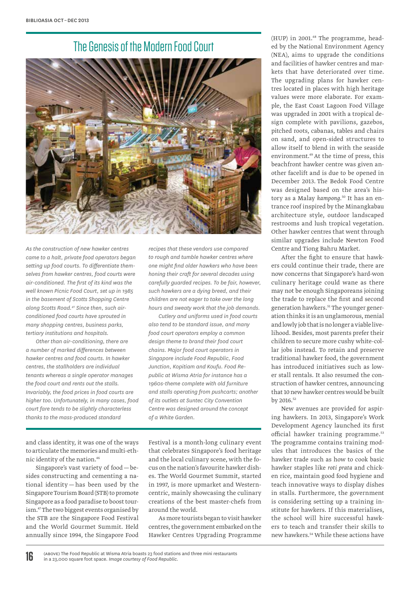# The Genesis of the Modern Food Court



*As the construction of new hawker centres came to a halt, private food operators began setting up food courts. To differentiate themselves from hawker centres, food courts were air-conditioned. The first of its kind was the well known Picnic Food Court, set up in 1985 in the basement of Scotts Shopping Centre along Scotts Road.41 Since then, such airconditioned food courts have sprouted in many shopping centres, business parks, tertiary institutions and hospitals.*

*Other than air-conditioning, there are a number of marked differences between hawker centres and food courts. In hawker centres, the stallholders are individual tenants whereas a single operator manages the food court and rents out the stalls. Invariably, the food prices in food courts are higher too. Unfortunately, in many cases, food court fare tends to be slightly characterless thanks to the mass-produced standard* 

*recipes that these vendors use compared to rough and tumble hawker centres where one might find older hawkers who have been honing their craft for several decades using carefully guarded recipes. To be fair, however, such hawkers are a dying breed, and their children are not eager to take over the long hours and sweaty work that the job demands.* 

*Cutlery and uniforms used in food courts also tend to be standard issue, and many food court operators employ a common design theme to brand their food court chains. Major food court operators in Singapore include Food Republic, Food Junction, Kopitiam and Koufu. Food Republic at Wisma Atria for instance has a 1960s-theme complete with old furniture and stalls operating from pushcarts; another of its outlets at Suntec City Convention Centre was designed around the concept of a White Garden.*

and class identity, it was one of the ways to articulate the memories and multi-ethnic identity of the nation.46

Singapore's vast variety of food—besides constructing and cementing a national identity — has been used by the Singapore Tourism Board (STB) to promote Singapore as a food paradise to boost tourism.47 The two biggest events organised by the STB are the Singapore Food Festival and the World Gourmet Summit. Held annually since 1994, the Singapore Food

Festival is a month-long culinary event that celebrates Singapore's food heritage and the local culinary scene, with the focus on the nation's favourite hawker dishes. The World Gourmet Summit, started in 1997, is more upmarket and Westerncentric, mainly showcasing the culinary creations of the best master-chefs from around the world.

As more tourists began to visit hawker centres, the government embarked on the Hawker Centres Upgrading Programme (HUP) in 2001.48 The programme, headed by the National Environment Agency (NEA), aims to upgrade the conditions and facilities of hawker centres and markets that have deteriorated over time. The upgrading plans for hawker centres located in places with high heritage values were more elaborate. For example, the East Coast Lagoon Food Village was upgraded in 2001 with a tropical design complete with pavilions, gazebos, pitched roots, cabanas, tables and chairs on sand, and open-sided structures to allow itself to blend in with the seaside environment.<sup>49</sup> At the time of press, this beachfront hawker centre was given another facelift and is due to be opened in December 2013. The Bedok Food Centre was designed based on the area's history as a Malay *kampong*. 50 It has an entrance roof inspired by the Minangkabau architecture style, outdoor landscaped restrooms and lush tropical vegetation. Other hawker centres that went through similar upgrades include Newton Food Centre and Tiong Bahru Market.

After the fight to ensure that hawkers could continue their trade, there are now concerns that Singapore's hard-won culinary heritage could wane as there may not be enough Singaporeans joining the trade to replace the first and second generation hawkers.51 The younger generation thinks it is an unglamorous, menial and lowly job that is no longer a viable livelihood. Besides, most parents prefer their children to secure more cushy white-collar jobs instead. To retain and preserve traditional hawker food, the government has introduced initiatives such as lower stall rentals. It also resumed the construction of hawker centres, announcing that 10 new hawker centres would be built by 2016.<sup>52</sup>

New avenues are provided for aspiring hawkers. In 2013, Singapore's Work Development Agency launched its first official hawker training programme.<sup>53</sup> The programme contains training modules that introduces the basics of the hawker trade such as how to cook basic hawker staples like *roti prata* and chicken rice, maintain good food hygiene and teach innovative ways to display dishes in stalls. Furthermore, the government is considering setting up a training institute for hawkers. If this materialises, the school will hire successful hawkers to teach and transfer their skills to new hawkers.54 While these actions have